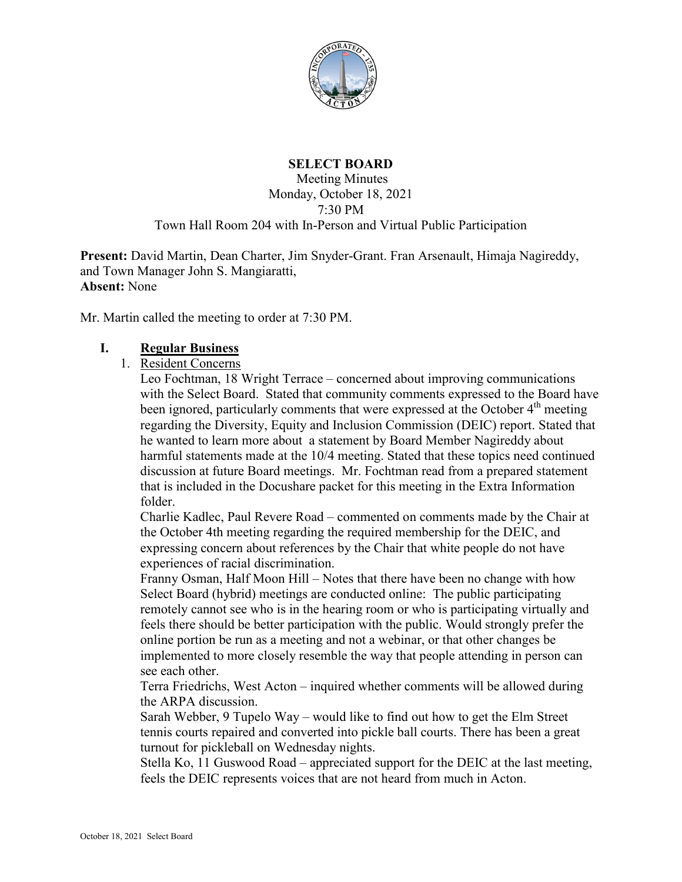

# **SELECT BOARD**

#### Meeting Minutes Monday, October 18, 2021 7:30 PM Town Hall Room 204 with In-Person and Virtual Public Participation

**Present:** David Martin, Dean Charter, Jim Snyder-Grant. Fran Arsenault, Himaja Nagireddy, and Town Manager John S. Mangiaratti, **Absent:** None

Mr. Martin called the meeting to order at 7:30 PM.

#### **I. Regular Business**

1. Resident Concerns

Leo Fochtman, 18 Wright Terrace – concerned about improving communications with the Select Board. Stated that community comments expressed to the Board have been ignored, particularly comments that were expressed at the October  $4<sup>th</sup>$  meeting regarding the Diversity, Equity and Inclusion Commission (DEIC) report. Stated that he wanted to learn more about a statement by Board Member Nagireddy about harmful statements made at the 10/4 meeting. Stated that these topics need continued discussion at future Board meetings. Mr. Fochtman read from a prepared statement that is included in the Docushare packet for this meeting in the Extra Information folder.

Charlie Kadlec, Paul Revere Road – commented on comments made by the Chair at the October 4th meeting regarding the required membership for the DEIC, and expressing concern about references by the Chair that white people do not have experiences of racial discrimination.

Franny Osman, Half Moon Hill – Notes that there have been no change with how Select Board (hybrid) meetings are conducted online: The public participating remotely cannot see who is in the hearing room or who is participating virtually and feels there should be better participation with the public. Would strongly prefer the online portion be run as a meeting and not a webinar, or that other changes be implemented to more closely resemble the way that people attending in person can see each other.

Terra Friedrichs, West Acton – inquired whether comments will be allowed during the ARPA discussion.

Sarah Webber, 9 Tupelo Way – would like to find out how to get the Elm Street tennis courts repaired and converted into pickle ball courts. There has been a great turnout for pickleball on Wednesday nights.

Stella Ko, 11 Guswood Road – appreciated support for the DEIC at the last meeting, feels the DEIC represents voices that are not heard from much in Acton.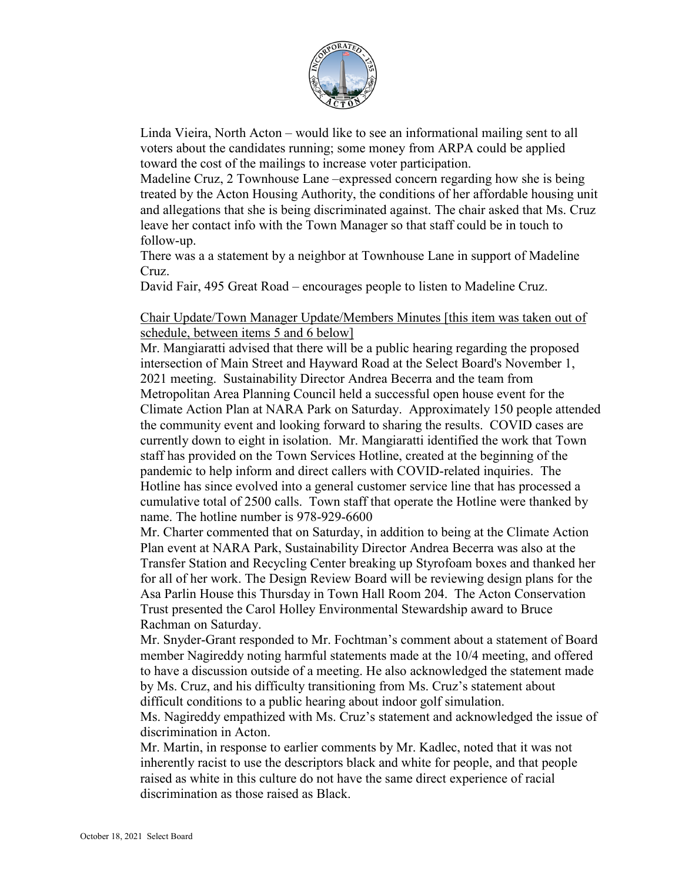

Linda Vieira, North Acton – would like to see an informational mailing sent to all voters about the candidates running; some money from ARPA could be applied toward the cost of the mailings to increase voter participation.

Madeline Cruz, 2 Townhouse Lane –expressed concern regarding how she is being treated by the Acton Housing Authority, the conditions of her affordable housing unit and allegations that she is being discriminated against. The chair asked that Ms. Cruz leave her contact info with the Town Manager so that staff could be in touch to follow-up.

There was a a statement by a neighbor at Townhouse Lane in support of Madeline Cruz.

David Fair, 495 Great Road – encourages people to listen to Madeline Cruz.

Chair Update/Town Manager Update/Members Minutes [this item was taken out of schedule, between items 5 and 6 below]

Mr. Mangiaratti advised that there will be a public hearing regarding the proposed intersection of Main Street and Hayward Road at the Select Board's November 1, 2021 meeting. Sustainability Director Andrea Becerra and the team from Metropolitan Area Planning Council held a successful open house event for the Climate Action Plan at NARA Park on Saturday. Approximately 150 people attended the community event and looking forward to sharing the results. COVID cases are currently down to eight in isolation. Mr. Mangiaratti identified the work that Town staff has provided on the Town Services Hotline, created at the beginning of the pandemic to help inform and direct callers with COVID-related inquiries. The Hotline has since evolved into a general customer service line that has processed a cumulative total of 2500 calls. Town staff that operate the Hotline were thanked by name. The hotline number is 978-929-6600

Mr. Charter commented that on Saturday, in addition to being at the Climate Action Plan event at NARA Park, Sustainability Director Andrea Becerra was also at the Transfer Station and Recycling Center breaking up Styrofoam boxes and thanked her for all of her work. The Design Review Board will be reviewing design plans for the Asa Parlin House this Thursday in Town Hall Room 204. The Acton Conservation Trust presented the Carol Holley Environmental Stewardship award to Bruce Rachman on Saturday.

Mr. Snyder-Grant responded to Mr. Fochtman's comment about a statement of Board member Nagireddy noting harmful statements made at the 10/4 meeting, and offered to have a discussion outside of a meeting. He also acknowledged the statement made by Ms. Cruz, and his difficulty transitioning from Ms. Cruz's statement about difficult conditions to a public hearing about indoor golf simulation.

Ms. Nagireddy empathized with Ms. Cruz's statement and acknowledged the issue of discrimination in Acton.

Mr. Martin, in response to earlier comments by Mr. Kadlec, noted that it was not inherently racist to use the descriptors black and white for people, and that people raised as white in this culture do not have the same direct experience of racial discrimination as those raised as Black.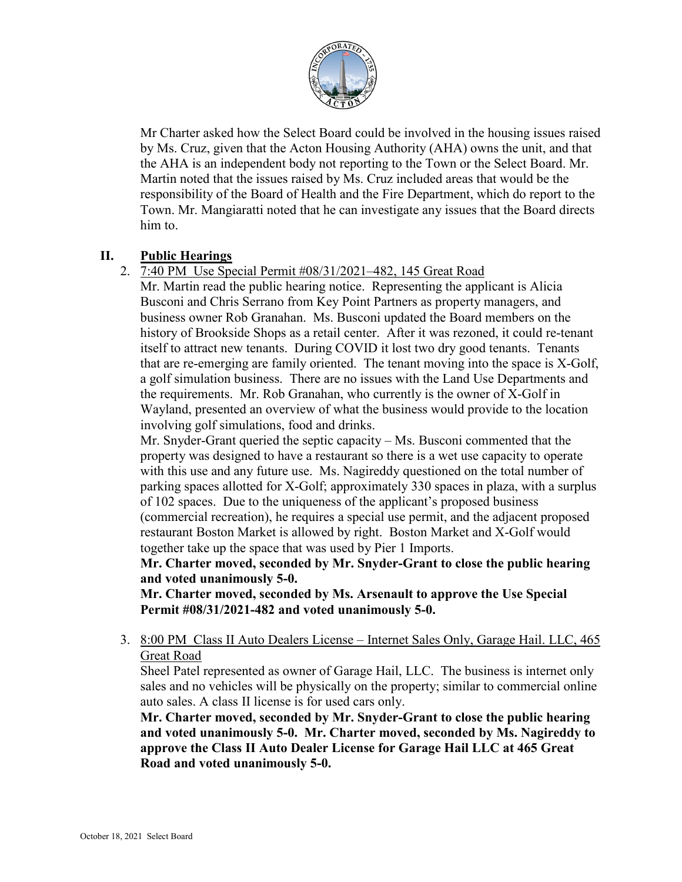

Mr Charter asked how the Select Board could be involved in the housing issues raised by Ms. Cruz, given that the Acton Housing Authority (AHA) owns the unit, and that the AHA is an independent body not reporting to the Town or the Select Board. Mr. Martin noted that the issues raised by Ms. Cruz included areas that would be the responsibility of the Board of Health and the Fire Department, which do report to the Town. Mr. Mangiaratti noted that he can investigate any issues that the Board directs him to.

## **II. Public Hearings**

# 2. 7:40 PM Use Special Permit #08/31/2021–482, 145 Great Road

Mr. Martin read the public hearing notice. Representing the applicant is Alicia Busconi and Chris Serrano from Key Point Partners as property managers, and business owner Rob Granahan. Ms. Busconi updated the Board members on the history of Brookside Shops as a retail center. After it was rezoned, it could re-tenant itself to attract new tenants. During COVID it lost two dry good tenants. Tenants that are re-emerging are family oriented. The tenant moving into the space is X-Golf, a golf simulation business. There are no issues with the Land Use Departments and the requirements. Mr. Rob Granahan, who currently is the owner of X-Golf in Wayland, presented an overview of what the business would provide to the location involving golf simulations, food and drinks.

Mr. Snyder-Grant queried the septic capacity – Ms. Busconi commented that the property was designed to have a restaurant so there is a wet use capacity to operate with this use and any future use. Ms. Nagireddy questioned on the total number of parking spaces allotted for X-Golf; approximately 330 spaces in plaza, with a surplus of 102 spaces. Due to the uniqueness of the applicant's proposed business (commercial recreation), he requires a special use permit, and the adjacent proposed restaurant Boston Market is allowed by right. Boston Market and X-Golf would together take up the space that was used by Pier 1 Imports.

**Mr. Charter moved, seconded by Mr. Snyder-Grant to close the public hearing and voted unanimously 5-0.**

**Mr. Charter moved, seconded by Ms. Arsenault to approve the Use Special Permit #08/31/2021-482 and voted unanimously 5-0.**

3. 8:00 PM Class II Auto Dealers License – Internet Sales Only, Garage Hail. LLC, 465 Great Road

Sheel Patel represented as owner of Garage Hail, LLC. The business is internet only sales and no vehicles will be physically on the property; similar to commercial online auto sales. A class II license is for used cars only.

**Mr. Charter moved, seconded by Mr. Snyder-Grant to close the public hearing and voted unanimously 5-0. Mr. Charter moved, seconded by Ms. Nagireddy to approve the Class II Auto Dealer License for Garage Hail LLC at 465 Great Road and voted unanimously 5-0.**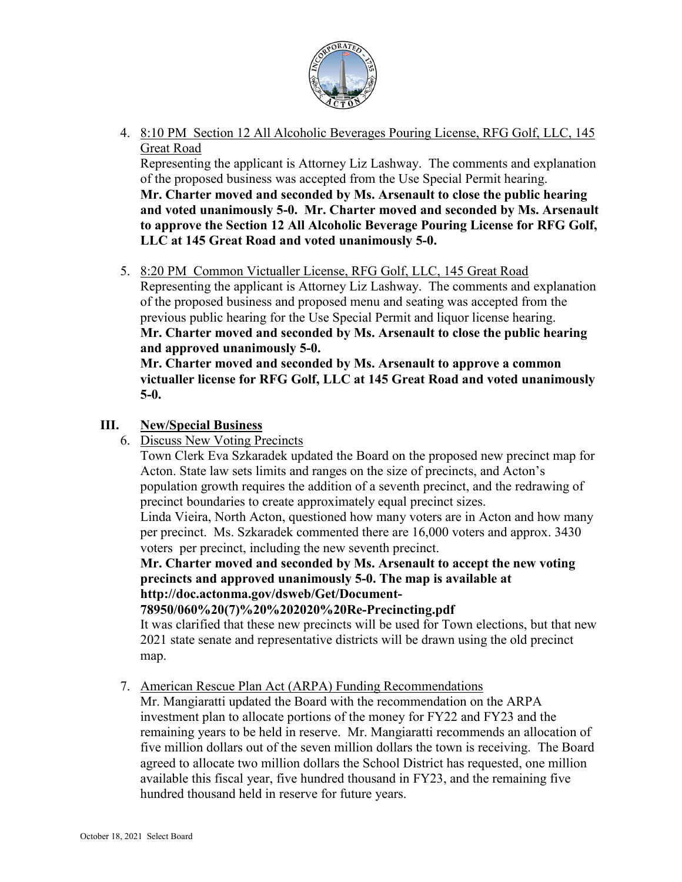

4. 8:10 PM Section 12 All Alcoholic Beverages Pouring License, RFG Golf, LLC, 145 Great Road

Representing the applicant is Attorney Liz Lashway. The comments and explanation of the proposed business was accepted from the Use Special Permit hearing. **Mr. Charter moved and seconded by Ms. Arsenault to close the public hearing and voted unanimously 5-0. Mr. Charter moved and seconded by Ms. Arsenault to approve the Section 12 All Alcoholic Beverage Pouring License for RFG Golf, LLC at 145 Great Road and voted unanimously 5-0.**

5. 8:20 PM Common Victualler License, RFG Golf, LLC, 145 Great Road Representing the applicant is Attorney Liz Lashway. The comments and explanation of the proposed business and proposed menu and seating was accepted from the previous public hearing for the Use Special Permit and liquor license hearing. **Mr. Charter moved and seconded by Ms. Arsenault to close the public hearing and approved unanimously 5-0.**

**Mr. Charter moved and seconded by Ms. Arsenault to approve a common victualler license for RFG Golf, LLC at 145 Great Road and voted unanimously 5-0.**

## **III. New/Special Business**

6. Discuss New Voting Precincts

Town Clerk Eva Szkaradek updated the Board on the proposed new precinct map for Acton. State law sets limits and ranges on the size of precincts, and Acton's population growth requires the addition of a seventh precinct, and the redrawing of precinct boundaries to create approximately equal precinct sizes.

Linda Vieira, North Acton, questioned how many voters are in Acton and how many per precinct. Ms. Szkaradek commented there are 16,000 voters and approx. 3430 voters per precinct, including the new seventh precinct.

**Mr. Charter moved and seconded by Ms. Arsenault to accept the new voting precincts and approved unanimously 5-0. The map is available at http://doc.actonma.gov/dsweb/Get/Document-**

**78950/060%20(7)%20%202020%20Re-Precincting.pdf**

It was clarified that these new precincts will be used for Town elections, but that new 2021 state senate and representative districts will be drawn using the old precinct map.

7. American Rescue Plan Act (ARPA) Funding Recommendations

Mr. Mangiaratti updated the Board with the recommendation on the ARPA investment plan to allocate portions of the money for FY22 and FY23 and the remaining years to be held in reserve. Mr. Mangiaratti recommends an allocation of five million dollars out of the seven million dollars the town is receiving. The Board agreed to allocate two million dollars the School District has requested, one million available this fiscal year, five hundred thousand in FY23, and the remaining five hundred thousand held in reserve for future years.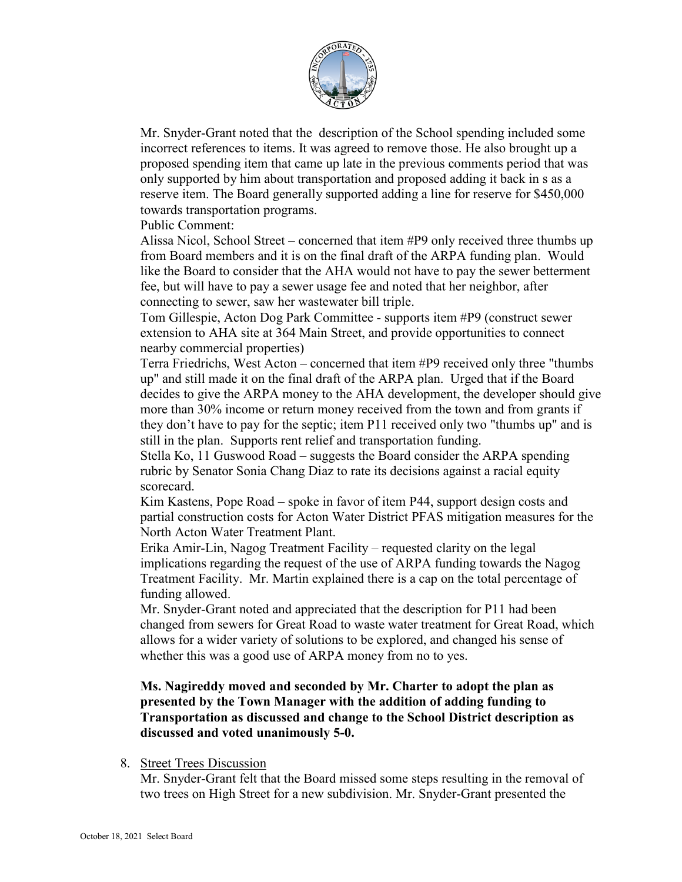

Mr. Snyder-Grant noted that the description of the School spending included some incorrect references to items. It was agreed to remove those. He also brought up a proposed spending item that came up late in the previous comments period that was only supported by him about transportation and proposed adding it back in s as a reserve item. The Board generally supported adding a line for reserve for \$450,000 towards transportation programs.

Public Comment:

Alissa Nicol, School Street – concerned that item #P9 only received three thumbs up from Board members and it is on the final draft of the ARPA funding plan. Would like the Board to consider that the AHA would not have to pay the sewer betterment fee, but will have to pay a sewer usage fee and noted that her neighbor, after connecting to sewer, saw her wastewater bill triple.

Tom Gillespie, Acton Dog Park Committee - supports item #P9 (construct sewer extension to AHA site at 364 Main Street, and provide opportunities to connect nearby commercial properties)

Terra Friedrichs, West Acton – concerned that item #P9 received only three "thumbs up" and still made it on the final draft of the ARPA plan. Urged that if the Board decides to give the ARPA money to the AHA development, the developer should give more than 30% income or return money received from the town and from grants if they don't have to pay for the septic; item P11 received only two "thumbs up" and is still in the plan. Supports rent relief and transportation funding.

Stella Ko, 11 Guswood Road – suggests the Board consider the ARPA spending rubric by Senator Sonia Chang Diaz to rate its decisions against a racial equity scorecard.

Kim Kastens, Pope Road – spoke in favor of item P44, support design costs and partial construction costs for Acton Water District PFAS mitigation measures for the North Acton Water Treatment Plant.

Erika Amir-Lin, Nagog Treatment Facility – requested clarity on the legal implications regarding the request of the use of ARPA funding towards the Nagog Treatment Facility. Mr. Martin explained there is a cap on the total percentage of funding allowed.

Mr. Snyder-Grant noted and appreciated that the description for P11 had been changed from sewers for Great Road to waste water treatment for Great Road, which allows for a wider variety of solutions to be explored, and changed his sense of whether this was a good use of ARPA money from no to yes.

#### **Ms. Nagireddy moved and seconded by Mr. Charter to adopt the plan as presented by the Town Manager with the addition of adding funding to Transportation as discussed and change to the School District description as discussed and voted unanimously 5-0.**

#### 8. Street Trees Discussion

Mr. Snyder-Grant felt that the Board missed some steps resulting in the removal of two trees on High Street for a new subdivision. Mr. Snyder-Grant presented the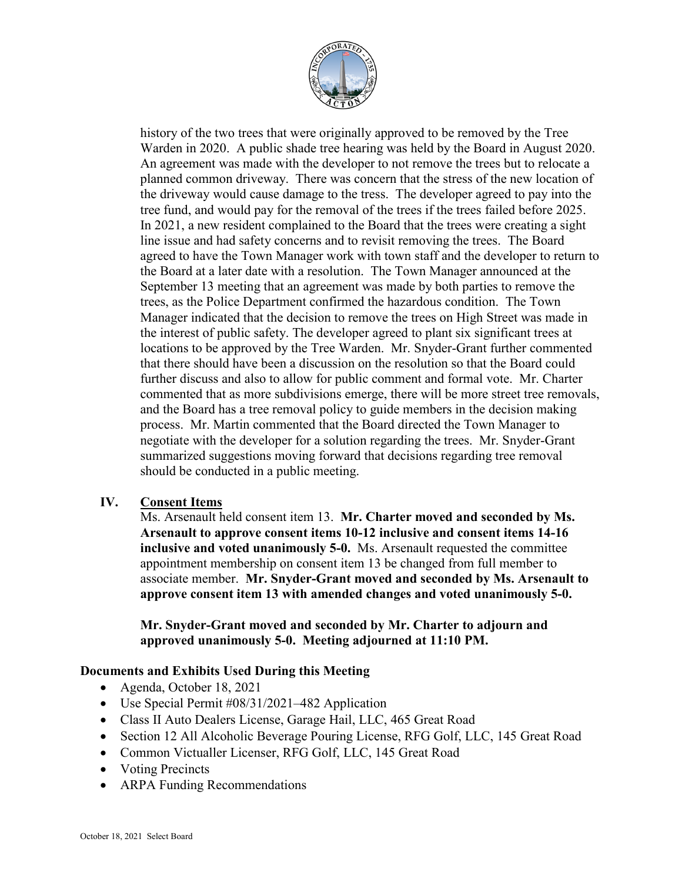

history of the two trees that were originally approved to be removed by the Tree Warden in 2020. A public shade tree hearing was held by the Board in August 2020. An agreement was made with the developer to not remove the trees but to relocate a planned common driveway. There was concern that the stress of the new location of the driveway would cause damage to the tress. The developer agreed to pay into the tree fund, and would pay for the removal of the trees if the trees failed before 2025. In 2021, a new resident complained to the Board that the trees were creating a sight line issue and had safety concerns and to revisit removing the trees. The Board agreed to have the Town Manager work with town staff and the developer to return to the Board at a later date with a resolution. The Town Manager announced at the September 13 meeting that an agreement was made by both parties to remove the trees, as the Police Department confirmed the hazardous condition. The Town Manager indicated that the decision to remove the trees on High Street was made in the interest of public safety. The developer agreed to plant six significant trees at locations to be approved by the Tree Warden. Mr. Snyder-Grant further commented that there should have been a discussion on the resolution so that the Board could further discuss and also to allow for public comment and formal vote. Mr. Charter commented that as more subdivisions emerge, there will be more street tree removals, and the Board has a tree removal policy to guide members in the decision making process. Mr. Martin commented that the Board directed the Town Manager to negotiate with the developer for a solution regarding the trees. Mr. Snyder-Grant summarized suggestions moving forward that decisions regarding tree removal should be conducted in a public meeting.

## **IV. Consent Items**

Ms. Arsenault held consent item 13. **Mr. Charter moved and seconded by Ms. Arsenault to approve consent items 10-12 inclusive and consent items 14-16 inclusive and voted unanimously 5-0.** Ms. Arsenault requested the committee appointment membership on consent item 13 be changed from full member to associate member. **Mr. Snyder-Grant moved and seconded by Ms. Arsenault to approve consent item 13 with amended changes and voted unanimously 5-0.**

**Mr. Snyder-Grant moved and seconded by Mr. Charter to adjourn and approved unanimously 5-0. Meeting adjourned at 11:10 PM.**

## **Documents and Exhibits Used During this Meeting**

- Agenda, October 18, 2021
- Use Special Permit #08/31/2021–482 Application
- Class II Auto Dealers License, Garage Hail, LLC, 465 Great Road
- Section 12 All Alcoholic Beverage Pouring License, RFG Golf, LLC, 145 Great Road
- Common Victualler Licenser, RFG Golf, LLC, 145 Great Road
- Voting Precincts
- ARPA Funding Recommendations